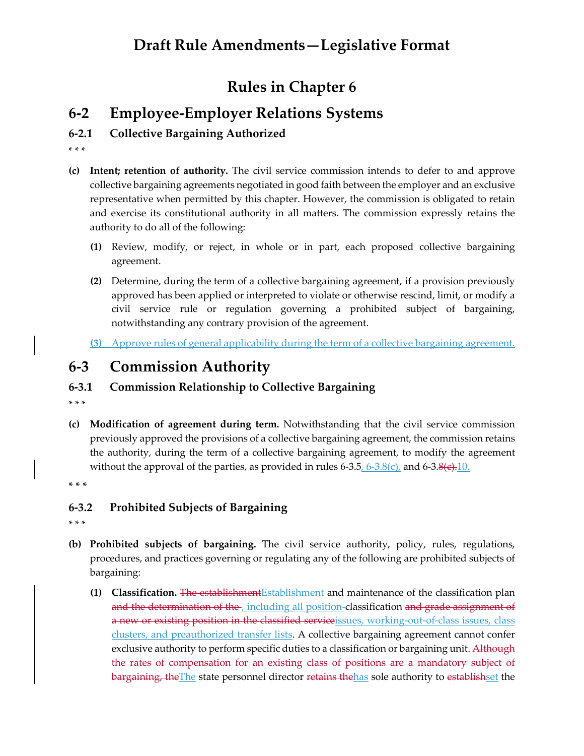# **Draft Rule Amendments—Legislative Format**

## **Rules in Chapter 6**

## **6-2 Employee-Employer Relations Systems**

### **6-2.1 Collective Bargaining Authorized**

\* \* \*

- **(c) Intent; retention of authority.** The civil service commission intends to defer to and approve collective bargaining agreements negotiated in good faith between the employer and an exclusive representative when permitted by this chapter. However, the commission is obligated to retain and exercise its constitutional authority in all matters. The commission expressly retains the authority to do all of the following:
	- **(1)** Review, modify, or reject, in whole or in part, each proposed collective bargaining agreement.
	- **(2)** Determine, during the term of a collective bargaining agreement, if a provision previously approved has been applied or interpreted to violate or otherwise rescind, limit, or modify a civil service rule or regulation governing a prohibited subject of bargaining, notwithstanding any contrary provision of the agreement.
	- **(3)** Approve rules of general applicability during the term of a collective bargaining agreement.

## **6-3 Commission Authority**

### **6-3.1 Commission Relationship to Collective Bargaining**

\* \* \*

**(c) Modification of agreement during term.** Notwithstanding that the civil service commission previously approved the provisions of a collective bargaining agreement, the commission retains the authority, during the term of a collective bargaining agreement, to modify the agreement without the approval of the parties, as provided in rules  $6-3.5, 6-3.8(c)$ , and  $6-3.8(c)$ . 10.

**\* \* \***

### **6-3.2 Prohibited Subjects of Bargaining**

- **(b) Prohibited subjects of bargaining.** The civil service authority, policy, rules, regulations, procedures, and practices governing or regulating any of the following are prohibited subjects of bargaining:
	- **(1)** Classification. The establishment Establishment and maintenance of the classification plan and the determination of the , including all position-classification and grade assignment of a new or existing position in the classified service issues, working-out-of-class issues, class clusters, and preauthorized transfer lists. A collective bargaining agreement cannot confer exclusive authority to perform specific duties to a classification or bargaining unit. Although the rates of compensation for an existing class of positions are a mandatory subject of bargaining, the The state personnel director retains the has sole authority to establishset the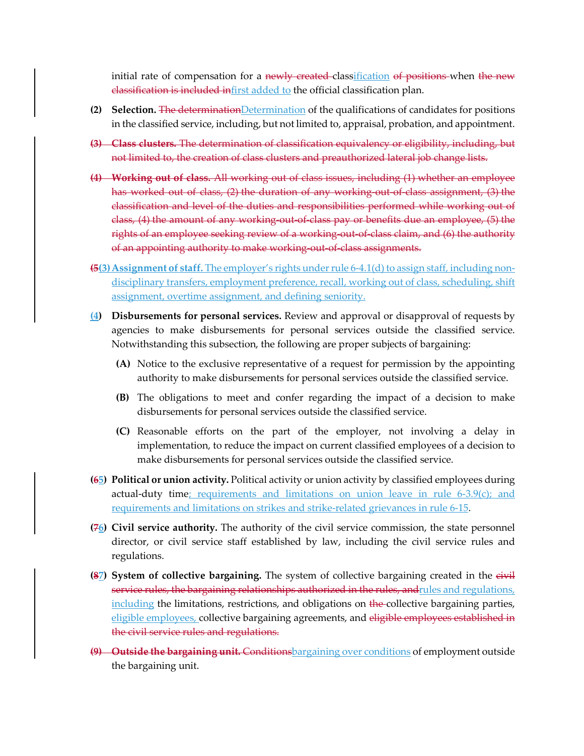initial rate of compensation for a newly created classification of positions when the new classification is included infirst added to the official classification plan.

- (2) Selection. The determination Determination of the qualifications of candidates for positions in the classified service, including, but not limited to, appraisal, probation, and appointment.
- **(3) Class clusters.** The determination of classification equivalency or eligibility, including, but not limited to, the creation of class clusters and preauthorized lateral job change lists.
- **(4) Working out of class.** All working out of class issues, including (1) whether an employee has worked out of class, (2) the duration of any working out of class assignment, (3) the classification and level of the duties and responsibilities performed while working out of class, (4) the amount of any working-out-of-class pay or benefits due an employee, (5) the rights of an employee seeking review of a working-out-of-class claim, and (6) the authority of an appointing authority to make working-out-of-class assignments.
- **(5(3)Assignment of staff.** The employer's rights under rule 6-4.1(d) to assign staff, including nondisciplinary transfers, employment preference, recall, working out of class, scheduling, shift assignment, overtime assignment, and defining seniority.
- **(4) Disbursements for personal services.** Review and approval or disapproval of requests by agencies to make disbursements for personal services outside the classified service. Notwithstanding this subsection, the following are proper subjects of bargaining:
	- **(A)** Notice to the exclusive representative of a request for permission by the appointing authority to make disbursements for personal services outside the classified service.
	- **(B)** The obligations to meet and confer regarding the impact of a decision to make disbursements for personal services outside the classified service.
	- **(C)** Reasonable efforts on the part of the employer, not involving a delay in implementation, to reduce the impact on current classified employees of a decision to make disbursements for personal services outside the classified service.
- **(65) Political or union activity.** Political activity or union activity by classified employees during actual-duty time; requirements and limitations on union leave in rule  $6-3.9(c)$ ; and requirements and limitations on strikes and strike-related grievances in rule 6-15.
- **(76) Civil service authority.** The authority of the civil service commission, the state personnel director, or civil service staff established by law, including the civil service rules and regulations.
- **(87) System of collective bargaining.** The system of collective bargaining created in the eivil service rules, the bargaining relationships authorized in the rules, and rules and regulations, including the limitations, restrictions, and obligations on the collective bargaining parties, eligible employees, collective bargaining agreements, and eligible employees established in the civil service rules and regulations.
- **(9) Outside the bargaining unit.** Conditionsbargaining over conditions of employment outside the bargaining unit.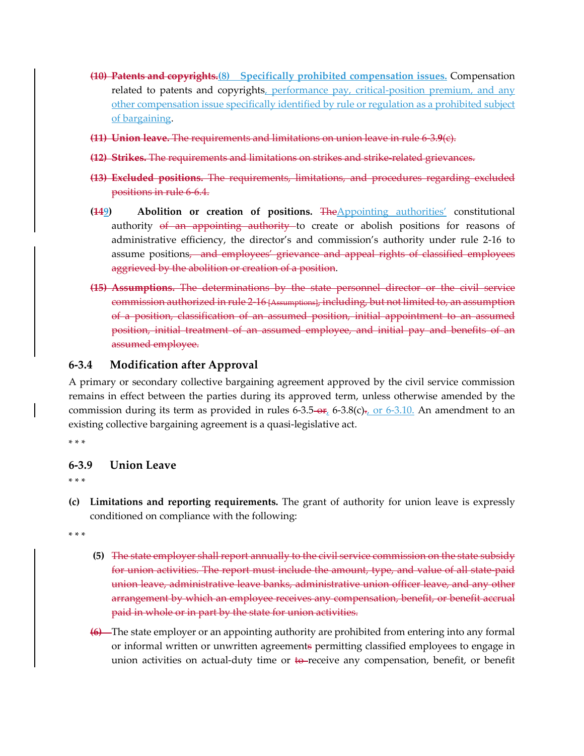- **(10) Patents and copyrights.(8) Specifically prohibited compensation issues.** Compensation related to patents and copyrights, performance pay, critical-position premium, and any other compensation issue specifically identified by rule or regulation as a prohibited subject of bargaining.
- **(11) Union leave.** The requirements and limitations on union leave in rule 6-3.**9**(c).
- **(12) Strikes.** The requirements and limitations on strikes and strike-related grievances.
- **(13) Excluded positions.** The requirements, limitations, and procedures regarding excluded positions in rule 6-6.4.
- **(149) Abolition or creation of positions.** TheAppointing authorities' constitutional authority of an appointing authority to create or abolish positions for reasons of administrative efficiency, the director's and commission's authority under rule 2-16 to assume positions, and employees' grievance and appeal rights of classified employees aggrieved by the abolition or creation of a position.
- **(15) Assumptions.** The determinations by the state personnel director or the civil service commission authorized in rule 2-16 [Assumptions], including, but not limited to, an assumption of a position, classification of an assumed position, initial appointment to an assumed position, initial treatment of an assumed employee, and initial pay and benefits of an assumed employee.

### **6-3.4 Modification after Approval**

A primary or secondary collective bargaining agreement approved by the civil service commission remains in effect between the parties during its approved term, unless otherwise amended by the commission during its term as provided in rules 6-3.5- $\Theta$ ; 6-3.8(c)., or 6-3.10. An amendment to an existing collective bargaining agreement is a quasi-legislative act.

\* \* \*

#### **6-3.9 Union Leave**

\* \* \*

**(c) Limitations and reporting requirements.** The grant of authority for union leave is expressly conditioned on compliance with the following:

- **(5)** The state employer shall report annually to the civil service commission on the state subsidy for union activities. The report must include the amount, type, and value of all state-paid union leave, administrative leave banks, administrative union officer leave, and any other arrangement by which an employee receives any compensation, benefit, or benefit accrual paid in whole or in part by the state for union activities.
- **(6)** The state employer or an appointing authority are prohibited from entering into any formal or informal written or unwritten agreements permitting classified employees to engage in union activities on actual-duty time or to-receive any compensation, benefit, or benefit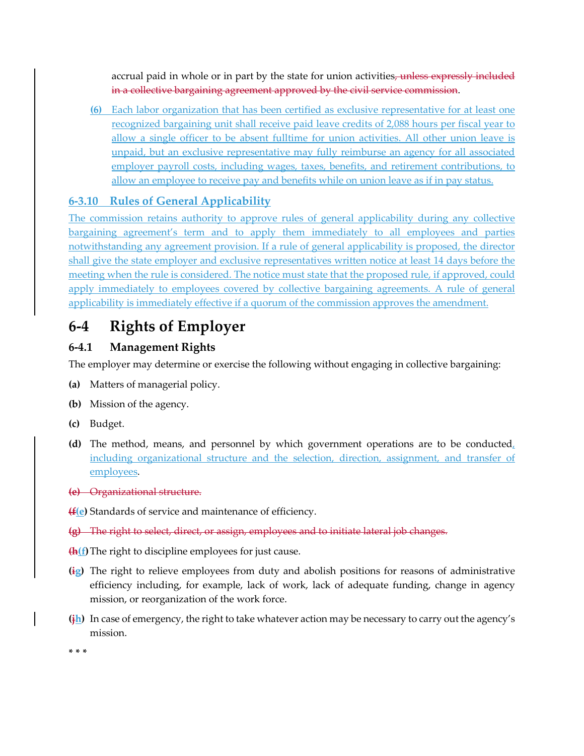accrual paid in whole or in part by the state for union activities, unless expressly included in a collective bargaining agreement approved by the civil service commission.

**(6)** Each labor organization that has been certified as exclusive representative for at least one recognized bargaining unit shall receive paid leave credits of 2,088 hours per fiscal year to allow a single officer to be absent fulltime for union activities. All other union leave is unpaid, but an exclusive representative may fully reimburse an agency for all associated employer payroll costs, including wages, taxes, benefits, and retirement contributions, to allow an employee to receive pay and benefits while on union leave as if in pay status.

### **6-3.10 Rules of General Applicability**

The commission retains authority to approve rules of general applicability during any collective bargaining agreement's term and to apply them immediately to all employees and parties notwithstanding any agreement provision. If a rule of general applicability is proposed, the director shall give the state employer and exclusive representatives written notice at least 14 days before the meeting when the rule is considered. The notice must state that the proposed rule, if approved, could apply immediately to employees covered by collective bargaining agreements. A rule of general applicability is immediately effective if a quorum of the commission approves the amendment.

# **6-4 Rights of Employer**

### **6-4.1 Management Rights**

The employer may determine or exercise the following without engaging in collective bargaining:

- **(a)** Matters of managerial policy.
- **(b)** Mission of the agency.
- **(c)** Budget.
- **(d)** The method, means, and personnel by which government operations are to be conducted, including organizational structure and the selection, direction, assignment, and transfer of employees.

**(e)** Organizational structure.

**(f(e)** Standards of service and maintenance of efficiency.

- **(g)** The right to select, direct, or assign, employees and to initiate lateral job changes.
- **(h(f)**The right to discipline employees for just cause.
- **(ig)** The right to relieve employees from duty and abolish positions for reasons of administrative efficiency including, for example, lack of work, lack of adequate funding, change in agency mission, or reorganization of the work force.
- **(jh)** In case of emergency, the right to take whatever action may be necessary to carry out the agency's mission.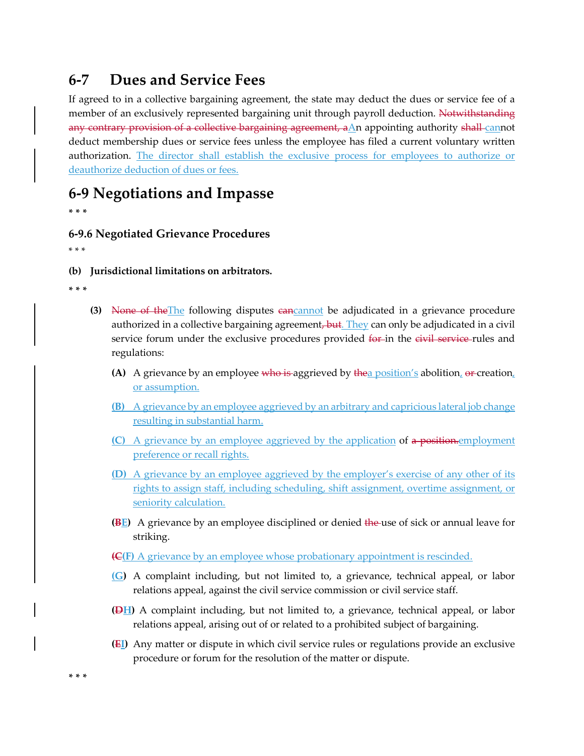# **6-7 Dues and Service Fees**

If agreed to in a collective bargaining agreement, the state may deduct the dues or service fee of a member of an exclusively represented bargaining unit through payroll deduction. Notwithstanding any contrary provision of a collective bargaining agreement,  $aAn$  appointing authority shall-cannot deduct membership dues or service fees unless the employee has filed a current voluntary written authorization. The director shall establish the exclusive process for employees to authorize or deauthorize deduction of dues or fees.

# **6-9 Negotiations and Impasse**

**\* \* \***

### **6-9.6 Negotiated Grievance Procedures**

\* \* \*

**(b) Jurisdictional limitations on arbitrators.**

**\* \* \***

- **(3)** None of theThe following disputes cancannot be adjudicated in a grievance procedure authorized in a collective bargaining agreement, but. They can only be adjudicated in a civil service forum under the exclusive procedures provided for in the eivil service-rules and regulations:
	- **(A)** A grievance by an employee who is aggrieved by thea position's abolition, or creation, or assumption.
	- **(B)** A grievance by an employee aggrieved by an arbitrary and capricious lateral job change resulting in substantial harm.
	- **(C)** A grievance by an employee aggrieved by the application of a position.employment preference or recall rights.
	- **(D)** A grievance by an employee aggrieved by the employer's exercise of any other of its rights to assign staff, including scheduling, shift assignment, overtime assignment, or seniority calculation.
	- **(BE)** A grievance by an employee disciplined or denied the use of sick or annual leave for striking.
	- **(C(F)** A grievance by an employee whose probationary appointment is rescinded.
	- **(G)** A complaint including, but not limited to, a grievance, technical appeal, or labor relations appeal, against the civil service commission or civil service staff.
	- **(DH)** A complaint including, but not limited to, a grievance, technical appeal, or labor relations appeal, arising out of or related to a prohibited subject of bargaining.
	- **(EI)** Any matter or dispute in which civil service rules or regulations provide an exclusive procedure or forum for the resolution of the matter or dispute.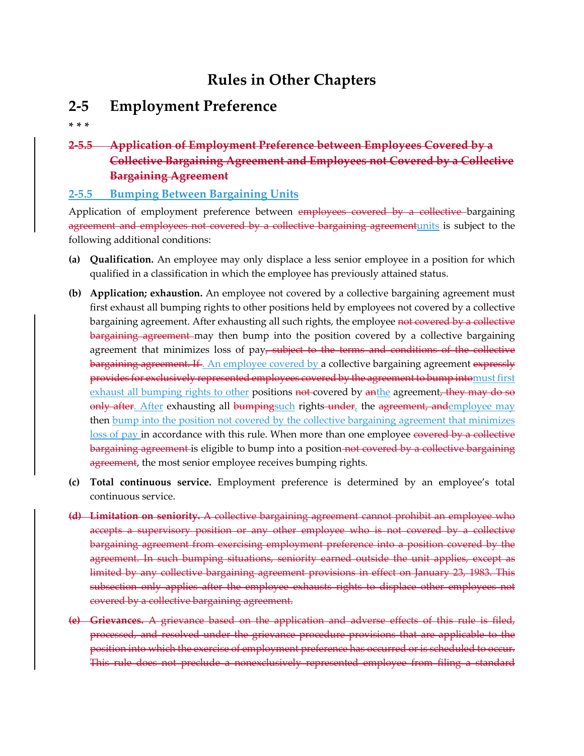# **Rules in Other Chapters**

## **2-5 Employment Preference**

**\* \* \***

### **2-5.5 Application of Employment Preference between Employees Covered by a Collective Bargaining Agreement and Employees not Covered by a Collective Bargaining Agreement**

### **2-5.5 Bumping Between Bargaining Units**

Application of employment preference between employees covered by a collective bargaining agreement and employees not covered by a collective bargaining agreement units is subject to the following additional conditions:

- **(a) Qualification.** An employee may only displace a less senior employee in a position for which qualified in a classification in which the employee has previously attained status.
- **(b) Application; exhaustion.** An employee not covered by a collective bargaining agreement must first exhaust all bumping rights to other positions held by employees not covered by a collective bargaining agreement. After exhausting all such rights, the employee not covered by a collective bargaining agreement may then bump into the position covered by a collective bargaining agreement that minimizes loss of  $pay<sub>r</sub>$  subject to the terms and conditions of the collective bargaining agreement. If . An employee covered by a collective bargaining agreement expressly provides for exclusively represented employees covered by the agreement to bump intomust first exhaust all bumping rights to other positions not covered by anthe agreement, they may do so only after. After exhausting all bumpingsuch rights-under, the agreement, andemployee may then bump into the position not covered by the collective bargaining agreement that minimizes loss of pay in accordance with this rule. When more than one employee covered by a collective bargaining agreement is eligible to bump into a position not covered by a collective bargaining agreement, the most senior employee receives bumping rights.
- **(c) Total continuous service.** Employment preference is determined by an employee's total continuous service.
- **(d) Limitation on seniority.** A collective bargaining agreement cannot prohibit an employee who accepts a supervisory position or any other employee who is not covered by a collective bargaining agreement from exercising employment preference into a position covered by the agreement. In such bumping situations, seniority earned outside the unit applies, except as limited by any collective bargaining agreement provisions in effect on January 23, 1983. This subsection only applies after the employee exhausts rights to displace other employees not covered by a collective bargaining agreement.
- **(e) Grievances.** A grievance based on the application and adverse effects of this rule is filed, processed, and resolved under the grievance procedure provisions that are applicable to the position into which the exercise of employment preference has occurred or is scheduled to occur. This rule does not preclude a nonexclusively represented employee from filing a standard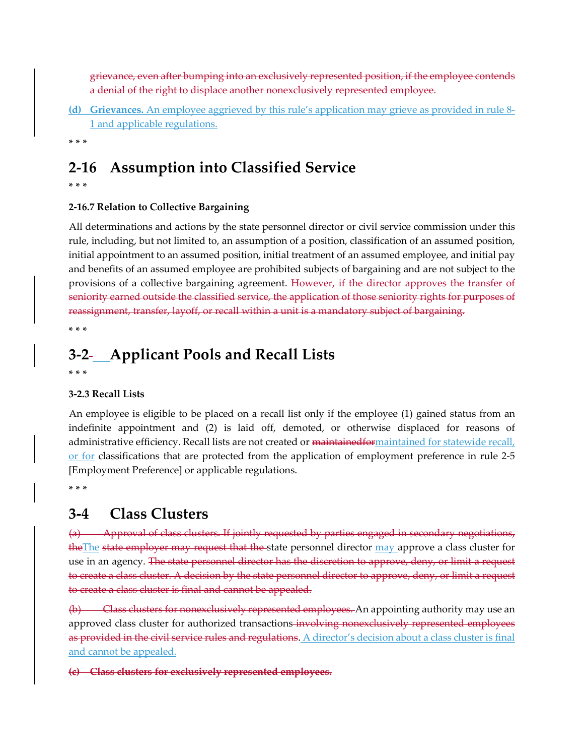grievance, even after bumping into an exclusively represented position, if the employee contends a denial of the right to displace another nonexclusively represented employee.

- **(d) Grievances.** An employee aggrieved by this rule's application may grieve as provided in rule 8- 1 and applicable regulations.
- **\* \* \***

# **2-16 Assumption into Classified Service**

**\* \* \***

### **2-16.7 Relation to Collective Bargaining**

All determinations and actions by the state personnel director or civil service commission under this rule, including, but not limited to, an assumption of a position, classification of an assumed position, initial appointment to an assumed position, initial treatment of an assumed employee, and initial pay and benefits of an assumed employee are prohibited subjects of bargaining and are not subject to the provisions of a collective bargaining agreement. However, if the director approves the transfer of seniority earned outside the classified service, the application of those seniority rights for purposes of reassignment, transfer, layoff, or recall within a unit is a mandatory subject of bargaining.

**\* \* \***

## **3-2 Applicant Pools and Recall Lists**

**\* \* \***

#### **3-2.3 Recall Lists**

An employee is eligible to be placed on a recall list only if the employee (1) gained status from an indefinite appointment and (2) is laid off, demoted, or otherwise displaced for reasons of administrative efficiency. Recall lists are not created or maintainedformaintained for statewide recall, or for classifications that are protected from the application of employment preference in rule 2-5 [Employment Preference] or applicable regulations.

**\* \* \***

## **3-4 Class Clusters**

(a) Approval of class clusters. If jointly requested by parties engaged in secondary negotiations, the The state employer may request that the state personnel director may approve a class cluster for use in an agency. The state personnel director has the discretion to approve, deny, or limit a request to create a class cluster. A decision by the state personnel director to approve, deny, or limit a request to create a class cluster is final and cannot be appealed.

(b) Class clusters for nonexclusively represented employees. An appointing authority may use an approved class cluster for authorized transactions involving nonexclusively represented employees as provided in the civil service rules and regulations. A director's decision about a class cluster is final and cannot be appealed.

**(c) Class clusters for exclusively represented employees.**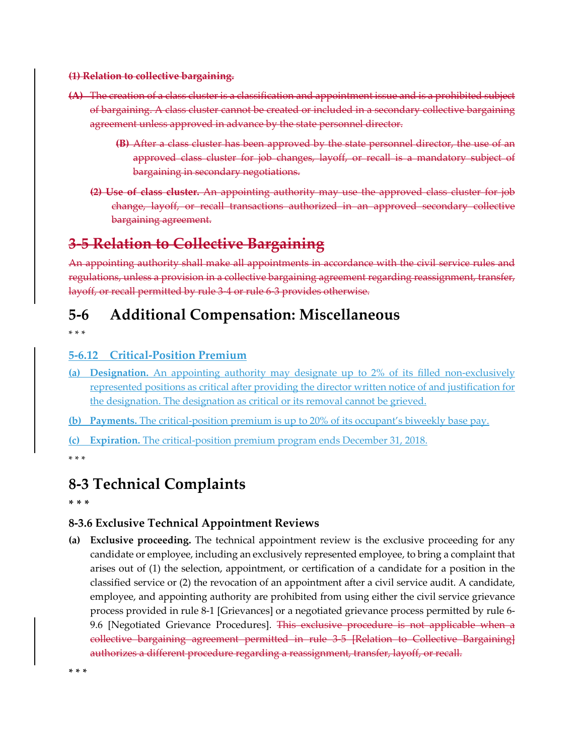#### **(1) Relation to collective bargaining.**

- **(A)** The creation of a class cluster is a classification and appointment issue and is a prohibited subject of bargaining. A class cluster cannot be created or included in a secondary collective bargaining agreement unless approved in advance by the state personnel director.
	- **(B)** After a class cluster has been approved by the state personnel director, the use of an approved class cluster for job changes, layoff, or recall is a mandatory subject of bargaining in secondary negotiations.
	- **(2) Use of class cluster.** An appointing authority may use the approved class cluster for job change, layoff, or recall transactions authorized in an approved secondary collective bargaining agreement.

# **3-5 Relation to Collective Bargaining**

An appointing authority shall make all appointments in accordance with the civil service rules and regulations, unless a provision in a collective bargaining agreement regarding reassignment, transfer, layoff, or recall permitted by rule 3-4 or rule 6-3 provides otherwise.

## **5-6 Additional Compensation: Miscellaneous**

\* \* \*

### **5-6.12 Critical-Position Premium**

- **(a) Designation.** An appointing authority may designate up to 2% of its filled non-exclusively represented positions as critical after providing the director written notice of and justification for the designation. The designation as critical or its removal cannot be grieved.
- **(b) Payments.** The critical-position premium is up to 20% of its occupant's biweekly base pay.
- **(c) Expiration.** The critical-position premium program ends December 31, 2018.

\* \* \*

## **8-3 Technical Complaints**

**\* \* \***

### **8-3.6 Exclusive Technical Appointment Reviews**

**(a) Exclusive proceeding.** The technical appointment review is the exclusive proceeding for any candidate or employee, including an exclusively represented employee, to bring a complaint that arises out of (1) the selection, appointment, or certification of a candidate for a position in the classified service or (2) the revocation of an appointment after a civil service audit. A candidate, employee, and appointing authority are prohibited from using either the civil service grievance process provided in rule 8-1 [Grievances] or a negotiated grievance process permitted by rule 6- 9.6 [Negotiated Grievance Procedures]. This exclusive procedure is not applicable when a collective bargaining agreement permitted in rule 3-5 [Relation to Collective Bargaining] authorizes a different procedure regarding a reassignment, transfer, layoff, or recall.